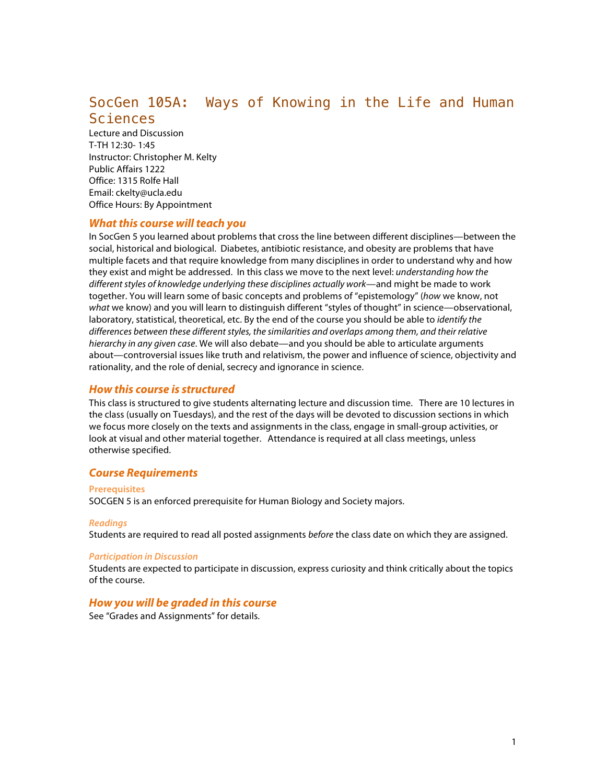# SocGen 105A: Ways of Knowing in the Life and Human Sciences

Lecture and Discussion T-TH 12:30- 1:45 Instructor: Christopher M. Kelty Public Affairs 1222 Office: 1315 Rolfe Hall Email: ckelty@ucla.edu Office Hours: By Appointment

# *What this course will teach you*

In SocGen 5 you learned about problems that cross the line between different disciplines—between the social, historical and biological. Diabetes, antibiotic resistance, and obesity are problems that have multiple facets and that require knowledge from many disciplines in order to understand why and how they exist and might be addressed. In this class we move to the next level: *understanding how the different styles of knowledge underlying these disciplines actually work*—and might be made to work together. You will learn some of basic concepts and problems of "epistemology" (*how* we know, not *what* we know) and you will learn to distinguish different "styles of thought" in science—observational, laboratory, statistical, theoretical, etc. By the end of the course you should be able to *identify the differences between these different styles, the similarities and overlaps among them, and their relative hierarchy in any given case*. We will also debate—and you should be able to articulate arguments about—controversial issues like truth and relativism, the power and influence of science, objectivity and rationality, and the role of denial, secrecy and ignorance in science.

# *How this course is structured*

This class is structured to give students alternating lecture and discussion time. There are 10 lectures in the class (usually on Tuesdays), and the rest of the days will be devoted to discussion sections in which we focus more closely on the texts and assignments in the class, engage in small-group activities, or look at visual and other material together. Attendance is required at all class meetings, unless otherwise specified.

# *Course Requirements*

## **Prerequisites**

SOCGEN 5 is an enforced prerequisite for Human Biology and Society majors.

#### *Readings*

Students are required to read all posted assignments *before* the class date on which they are assigned.

#### *Participation in Discussion*

Students are expected to participate in discussion, express curiosity and think critically about the topics of the course.

# *How you will be graded in this course*

See "Grades and Assignments" for details.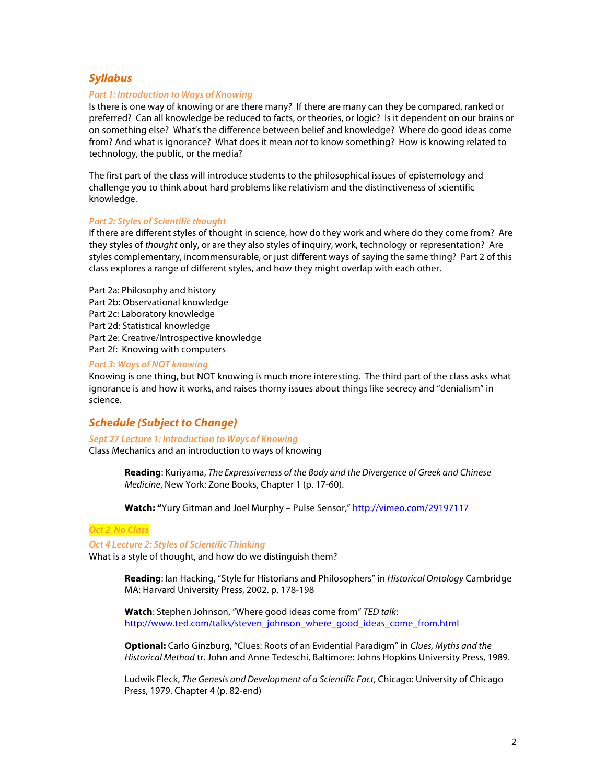# *Syllabus*

#### *Part 1: Introduction to Ways of Knowing*

Is there is one way of knowing or are there many? If there are many can they be compared, ranked or preferred? Can all knowledge be reduced to facts, or theories, or logic? Is it dependent on our brains or on something else? What's the difference between belief and knowledge? Where do good ideas come from? And what is ignorance? What does it mean *not* to know something? How is knowing related to technology, the public, or the media?

The first part of the class will introduce students to the philosophical issues of epistemology and challenge you to think about hard problems like relativism and the distinctiveness of scientific knowledge.

#### *Part 2: Styles of Scientific thought*

If there are different styles of thought in science, how do they work and where do they come from? Are they styles of *thought* only, or are they also styles of inquiry, work, technology or representation? Are styles complementary, incommensurable, or just different ways of saying the same thing? Part 2 of this class explores a range of different styles, and how they might overlap with each other.

Part 2a: Philosophy and history Part 2b: Observational knowledge Part 2c: Laboratory knowledge Part 2d: Statistical knowledge Part 2e: Creative/Introspective knowledge Part 2f: Knowing with computers

## *Part 3: Ways of NOT knowing*

Knowing is one thing, but NOT knowing is much more interesting. The third part of the class asks what ignorance is and how it works, and raises thorny issues about things like secrecy and "denialism" in science.

# *Schedule (Subject to Change)*

*Sept 27 Lecture 1: Introduction to Ways of Knowing* Class Mechanics and an introduction to ways of knowing

> **Reading**: Kuriyama, *The Expressiveness of the Body and the Divergence of Greek and Chinese Medicine*, New York: Zone Books, Chapter 1 (p. 17-60).

**Watch: "**Yury Gitman and Joel Murphy – Pulse Sensor," http://vimeo.com/29197117

#### *Oct 2 No Class*

## *Oct 4 Lecture 2: Styles of Scientific Thinking*

What is a style of thought, and how do we distinguish them?

**Reading**: Ian Hacking, "Style for Historians and Philosophers" in *Historical Ontology* Cambridge MA: Harvard University Press, 2002. p. 178-198

**Watch**: Stephen Johnson, "Where good ideas come from" *TED talk*: http://www.ted.com/talks/steven\_johnson\_where\_good\_ideas\_come\_from.html

**Optional:** Carlo Ginzburg, "Clues: Roots of an Evidential Paradigm" in *Clues, Myths and the Historical Method* tr. John and Anne Tedeschi, Baltimore: Johns Hopkins University Press, 1989.

Ludwik Fleck, *The Genesis and Development of a Scientific Fact*, Chicago: University of Chicago Press, 1979. Chapter 4 (p. 82-end)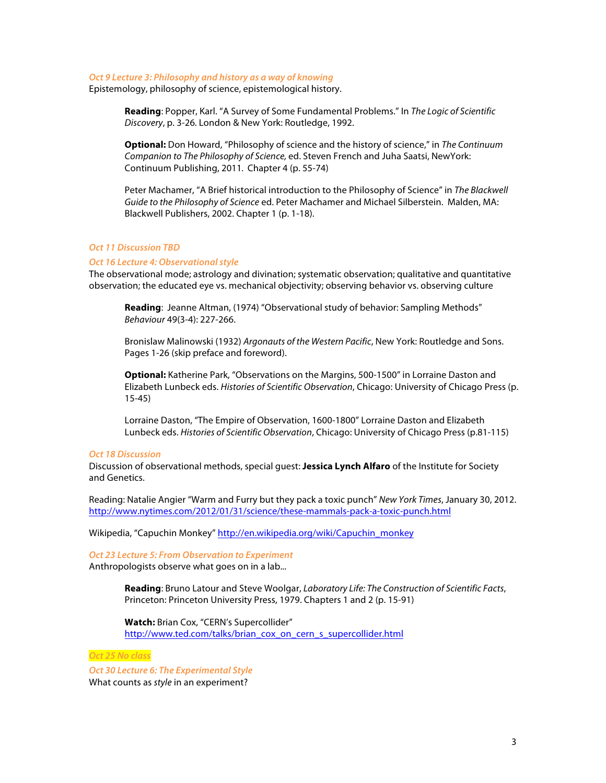#### *Oct 9 Lecture 3: Philosophy and history as a way of knowing*

Epistemology, philosophy of science, epistemological history.

**Reading**: Popper, Karl. "A Survey of Some Fundamental Problems." In *The Logic of Scientific Discovery*, p. 3-26*.* London & New York: Routledge, 1992.

**Optional:** Don Howard, "Philosophy of science and the history of science," in *The Continuum Companion to The Philosophy of Science,* ed. Steven French and Juha Saatsi, NewYork: Continuum Publishing, 2011*.* Chapter 4 (p. 55-74)

Peter Machamer, "A Brief historical introduction to the Philosophy of Science" in *The Blackwell Guide to the Philosophy of Science* ed. Peter Machamer and Michael Silberstein. Malden, MA: Blackwell Publishers, 2002. Chapter 1 (p. 1-18).

## *Oct 11 Discussion TBD*

#### *Oct 16 Lecture 4: Observational style*

The observational mode; astrology and divination; systematic observation; qualitative and quantitative observation; the educated eye vs. mechanical objectivity; observing behavior vs. observing culture

**Reading**: Jeanne Altman, (1974) "Observational study of behavior: Sampling Methods" *Behaviour* 49(3-4): 227-266.

Bronislaw Malinowski (1932) *Argonauts of the Western Pacific*, New York: Routledge and Sons. Pages 1-26 (skip preface and foreword).

**Optional:** Katherine Park, "Observations on the Margins, 500-1500" in Lorraine Daston and Elizabeth Lunbeck eds. *Histories of Scientific Observation*, Chicago: University of Chicago Press (p. 15-45)

Lorraine Daston, "The Empire of Observation, 1600-1800" Lorraine Daston and Elizabeth Lunbeck eds. *Histories of Scientific Observation*, Chicago: University of Chicago Press (p.81-115)

#### *Oct 18 Discussion*

Discussion of observational methods, special guest: **Jessica Lynch Alfaro** of the Institute for Society and Genetics.

Reading: Natalie Angier "Warm and Furry but they pack a toxic punch" *New York Times*, January 30, 2012. http://www.nytimes.com/2012/01/31/science/these-mammals-pack-a-toxic-punch.html

Wikipedia, "Capuchin Monkey" http://en.wikipedia.org/wiki/Capuchin\_monkey

# *Oct 23 Lecture 5: From Observation to Experiment*

Anthropologists observe what goes on in a lab...

**Reading**: Bruno Latour and Steve Woolgar, *Laboratory Life: The Construction of Scientific Facts*, Princeton: Princeton University Press, 1979. Chapters 1 and 2 (p. 15-91)

**Watch:** Brian Cox, "CERN's Supercollider" http://www.ted.com/talks/brian\_cox\_on\_cern\_s\_supercollider.html

## *Oct 25 No class*

*Oct 30 Lecture 6: The Experimental Style* What counts as *style* in an experiment?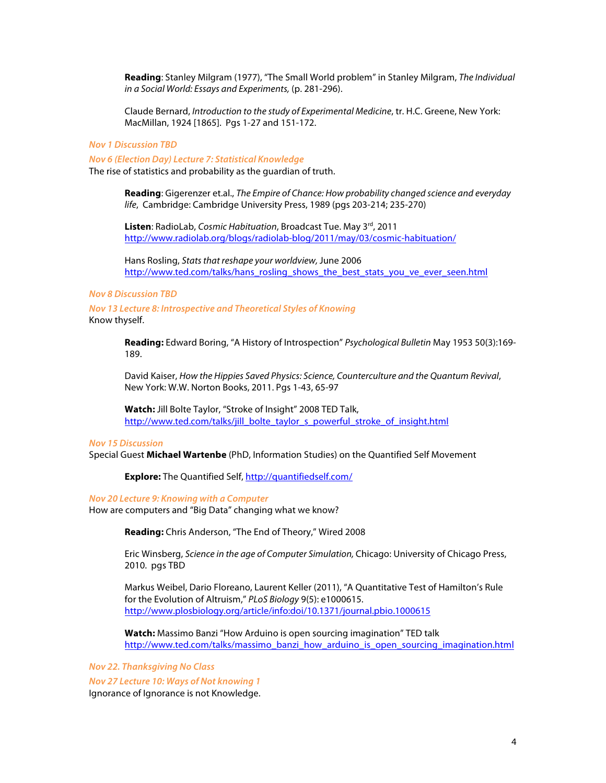**Reading**: Stanley Milgram (1977), "The Small World problem" in Stanley Milgram, *The Individual in a Social World: Essays and Experiments,* (p. 281-296).

Claude Bernard, *Introduction to the study of Experimental Medicine*, tr. H.C. Greene, New York: MacMillan, 1924 [1865]. Pgs 1-27 and 151-172.

#### *Nov 1 Discussion TBD*

*Nov 6 (Election Day) Lecture 7: Statistical Knowledge*

The rise of statistics and probability as the guardian of truth.

**Reading**: Gigerenzer et.al., *The Empire of Chance: How probability changed science and everyday life*, Cambridge: Cambridge University Press, 1989 (pgs 203-214; 235-270)

**Listen**: RadioLab, *Cosmic Habituation*, Broadcast Tue. May 3rd, 2011 http://www.radiolab.org/blogs/radiolab-blog/2011/may/03/cosmic-habituation/

Hans Rosling, *Stats that reshape your worldview,* June 2006 http://www.ted.com/talks/hans\_rosling\_shows\_the\_best\_stats\_you\_ve\_ever\_seen.html

### *Nov 8 Discussion TBD*

*Nov 13 Lecture 8: Introspective and Theoretical Styles of Knowing* Know thyself.

> **Reading:** Edward Boring, "A History of Introspection" *Psychological Bulletin* May 1953 50(3):169- 189.

David Kaiser, *How the Hippies Saved Physics: Science, Counterculture and the Quantum Revival*, New York: W.W. Norton Books, 2011. Pgs 1-43, 65-97

**Watch:** Jill Bolte Taylor, "Stroke of Insight" 2008 TED Talk, http://www.ted.com/talks/jill\_bolte\_taylor\_s\_powerful\_stroke\_of\_insight.html

#### *Nov 15 Discussion*

Special Guest **Michael Wartenbe** (PhD, Information Studies) on the Quantified Self Movement

**Explore:** The Quantified Self, http://quantifiedself.com/

*Nov 20 Lecture 9: Knowing with a Computer*

How are computers and "Big Data" changing what we know?

**Reading:** Chris Anderson, "The End of Theory," Wired 2008

Eric Winsberg, *Science in the age of Computer Simulation,* Chicago: University of Chicago Press, 2010. pgs TBD

Markus Weibel, Dario Floreano, Laurent Keller (2011), "A Quantitative Test of Hamilton's Rule for the Evolution of Altruism," *PLoS Biology* 9(5): e1000615. http://www.plosbiology.org/article/info:doi/10.1371/journal.pbio.1000615

**Watch:** Massimo Banzi "How Arduino is open sourcing imagination" TED talk http://www.ted.com/talks/massimo\_banzi\_how\_arduino\_is\_open\_sourcing\_imagination.html

*Nov 22. Thanksgiving No Class*

*Nov 27 Lecture 10: Ways of Not knowing 1*

Ignorance of Ignorance is not Knowledge.